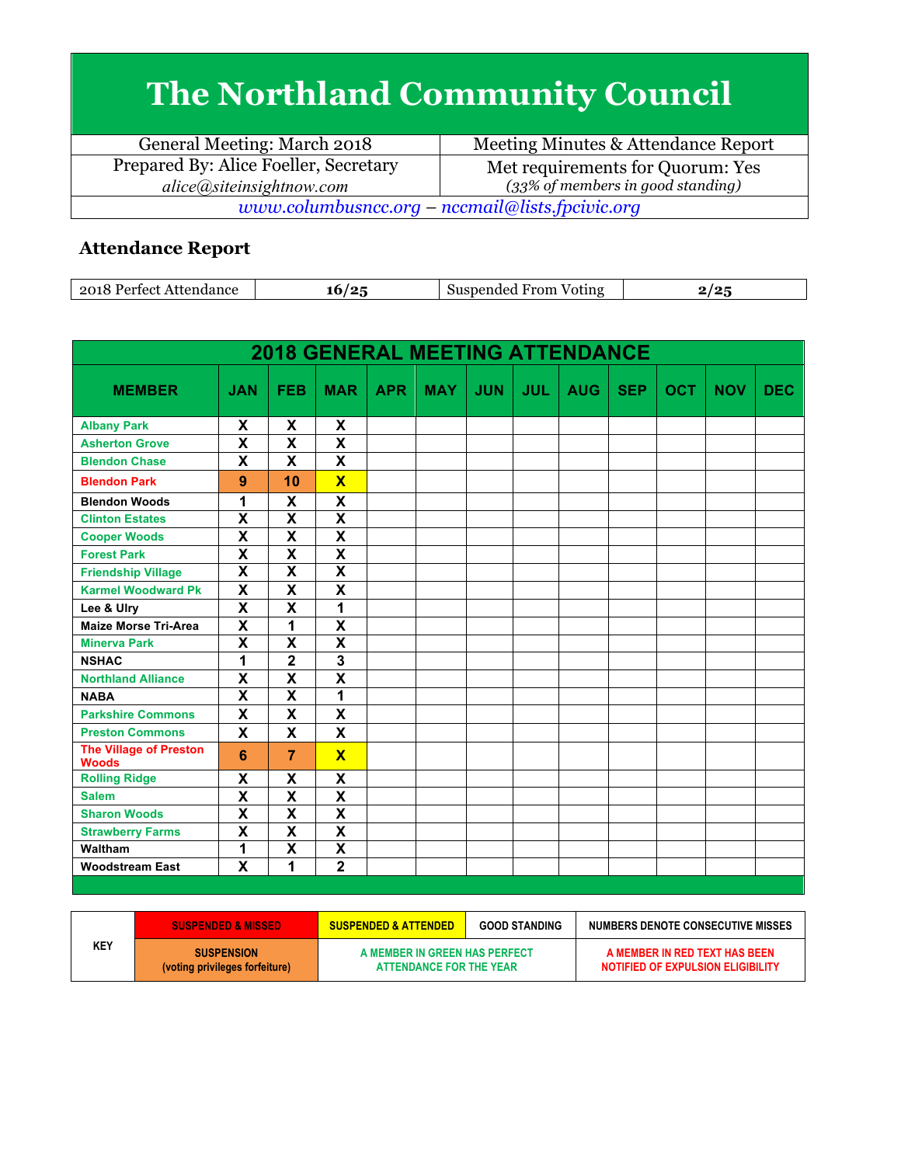## **The Northland Community Council**

| General Meeting: March 2018                       | Meeting Minutes & Attendance Report  |  |  |  |
|---------------------------------------------------|--------------------------------------|--|--|--|
| Prepared By: Alice Foeller, Secretary             | Met requirements for Quorum: Yes     |  |  |  |
| alice(a) site insight now.com                     | $(33\%$ of members in good standing) |  |  |  |
| $www.columbusncc.org - nccmail@lists.fpcivic.org$ |                                      |  |  |  |

## **Attendance Report**

| 2018<br>endance<br>$120 +$<br>$\alpha$<br>,,,, | /o-<br>۱h | <b>STATE OF BUILDING</b><br>From<br>Voting<br>…nended :<br>w | . ה |
|------------------------------------------------|-----------|--------------------------------------------------------------|-----|

| <b>2018 GENERAL MEETING ATTENDANCE</b>        |                         |                           |                           |            |            |            |            |            |            |            |            |            |
|-----------------------------------------------|-------------------------|---------------------------|---------------------------|------------|------------|------------|------------|------------|------------|------------|------------|------------|
| <b>MEMBER</b>                                 | <b>JAN</b>              | <b>FEB</b>                | <b>MAR</b>                | <b>APR</b> | <b>MAY</b> | <b>JUN</b> | <b>JUL</b> | <b>AUG</b> | <b>SEP</b> | <b>OCT</b> | <b>NOV</b> | <b>DEC</b> |
| <b>Albany Park</b>                            | X                       | X                         | X                         |            |            |            |            |            |            |            |            |            |
| <b>Asherton Grove</b>                         | $\overline{\textsf{x}}$ | $\overline{\mathbf{x}}$   | $\overline{\mathsf{x}}$   |            |            |            |            |            |            |            |            |            |
| <b>Blendon Chase</b>                          | X                       | X                         | X                         |            |            |            |            |            |            |            |            |            |
| <b>Blendon Park</b>                           | 9                       | 10                        | $\overline{\mathbf{x}}$   |            |            |            |            |            |            |            |            |            |
| <b>Blendon Woods</b>                          | 1                       | X                         | $\boldsymbol{\mathsf{X}}$ |            |            |            |            |            |            |            |            |            |
| <b>Clinton Estates</b>                        | $\overline{\mathbf{x}}$ | $\overline{\mathbf{x}}$   | $\overline{\mathbf{x}}$   |            |            |            |            |            |            |            |            |            |
| <b>Cooper Woods</b>                           | $\overline{\mathsf{x}}$ | $\overline{\mathsf{x}}$   | $\overline{\mathsf{x}}$   |            |            |            |            |            |            |            |            |            |
| <b>Forest Park</b>                            | X                       | $\boldsymbol{\mathsf{X}}$ | $\overline{\mathsf{x}}$   |            |            |            |            |            |            |            |            |            |
| <b>Friendship Village</b>                     | $\overline{\mathsf{x}}$ | $\overline{\mathsf{x}}$   | $\overline{\mathbf{x}}$   |            |            |            |            |            |            |            |            |            |
| <b>Karmel Woodward Pk</b>                     | X                       | X                         | X                         |            |            |            |            |            |            |            |            |            |
| Lee & Ulry                                    | $\overline{\mathsf{x}}$ | $\overline{\mathsf{x}}$   | 1                         |            |            |            |            |            |            |            |            |            |
| <b>Maize Morse Tri-Area</b>                   | $\overline{\mathsf{x}}$ | 1                         | X                         |            |            |            |            |            |            |            |            |            |
| <b>Minerva Park</b>                           | X                       | $\overline{\mathbf{x}}$   | $\overline{\mathsf{x}}$   |            |            |            |            |            |            |            |            |            |
| <b>NSHAC</b>                                  | 1                       | $\overline{\mathbf{2}}$   | $\overline{\mathbf{3}}$   |            |            |            |            |            |            |            |            |            |
| <b>Northland Alliance</b>                     | X                       | $\overline{\mathsf{x}}$   | $\overline{\mathsf{x}}$   |            |            |            |            |            |            |            |            |            |
| <b>NABA</b>                                   | X                       | $\overline{\mathsf{x}}$   | 1                         |            |            |            |            |            |            |            |            |            |
| <b>Parkshire Commons</b>                      | X                       | X                         | $\mathsf{x}$              |            |            |            |            |            |            |            |            |            |
| <b>Preston Commons</b>                        | X                       | X                         | X                         |            |            |            |            |            |            |            |            |            |
| <b>The Village of Preston</b><br><b>Woods</b> | 6                       | $\overline{7}$            | $\overline{\mathbf{X}}$   |            |            |            |            |            |            |            |            |            |
| <b>Rolling Ridge</b>                          | X                       | X                         | X                         |            |            |            |            |            |            |            |            |            |
| <b>Salem</b>                                  | $\overline{\textbf{x}}$ | $\overline{\mathsf{x}}$   | $\overline{\mathbf{X}}$   |            |            |            |            |            |            |            |            |            |
| <b>Sharon Woods</b>                           | X                       | $\overline{\mathsf{x}}$   | $\overline{\mathbf{x}}$   |            |            |            |            |            |            |            |            |            |
| <b>Strawberry Farms</b>                       | $\overline{\textsf{x}}$ | $\overline{\textsf{x}}$   | $\overline{\textsf{x}}$   |            |            |            |            |            |            |            |            |            |
| Waltham                                       | 1                       | $\overline{\mathsf{x}}$   | $\overline{\mathbf{X}}$   |            |            |            |            |            |            |            |            |            |
| <b>Woodstream East</b>                        | $\overline{\textsf{x}}$ | 1                         | $\overline{2}$            |            |            |            |            |            |            |            |            |            |
|                                               |                         |                           |                           |            |            |            |            |            |            |            |            |            |

|     | <b>SUSPENDED &amp; MISSED</b>                       | <b>SUSPENDED &amp; ATTENDED</b>                          | <b>GOOD STANDING</b> | NUMBERS DENOTE CONSECUTIVE MISSES                                  |
|-----|-----------------------------------------------------|----------------------------------------------------------|----------------------|--------------------------------------------------------------------|
| KEY | <b>SUSPENSION</b><br>(voting privileges forfeiture) | A MEMBER IN GREEN HAS PERFECT<br>ATTENDANCE FOR THE YEAR |                      | A MEMBER IN RED TEXT HAS BEEN<br>NOTIFIED OF EXPULSION ELIGIBILITY |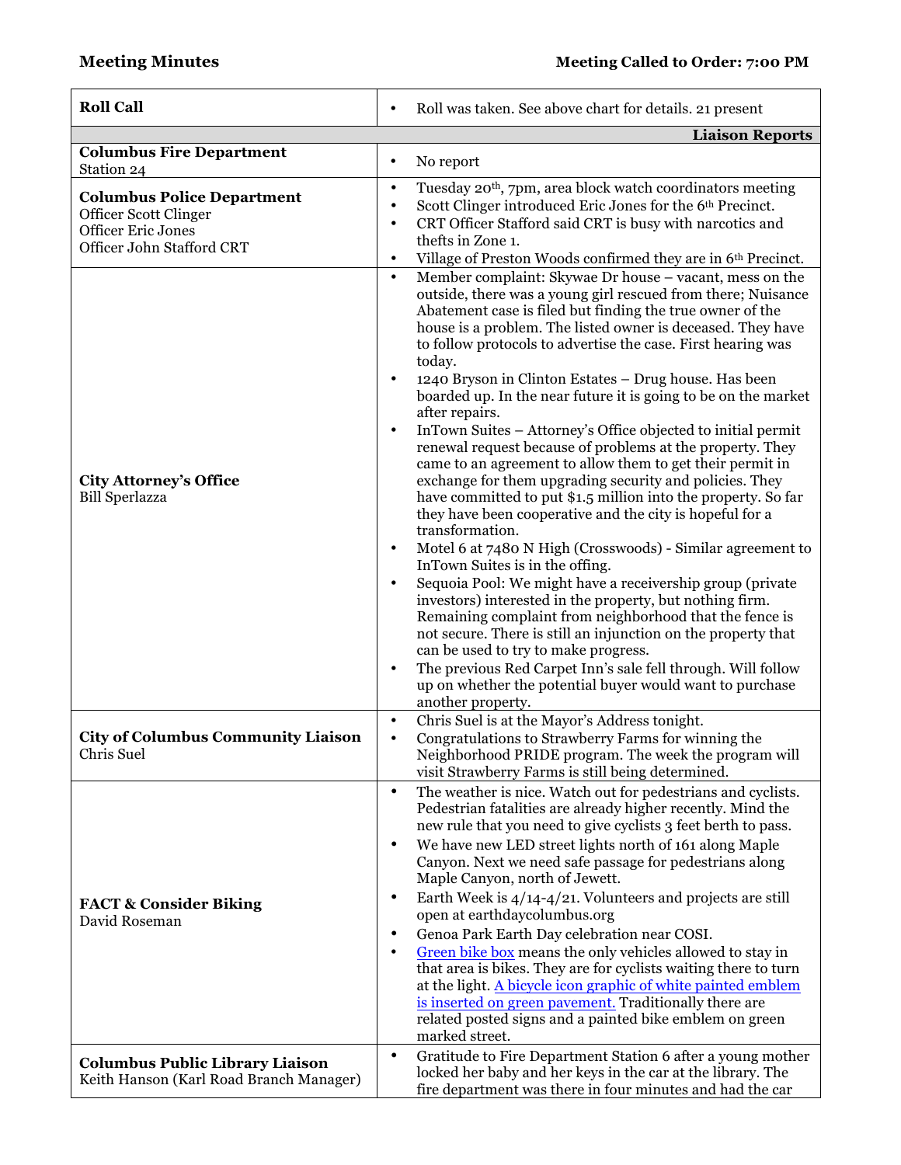| <b>Roll Call</b>                                                                                                                   | Roll was taken. See above chart for details. 21 present<br>$\bullet$                                                                                                                                                                                                                                                                                                                                                                                                                                                                                                                                                                                                                                                                                                                                                                                                                                                                                                                                                                                                                                                                                                                                                                                                                                                                                                                                                                                                                                 |
|------------------------------------------------------------------------------------------------------------------------------------|------------------------------------------------------------------------------------------------------------------------------------------------------------------------------------------------------------------------------------------------------------------------------------------------------------------------------------------------------------------------------------------------------------------------------------------------------------------------------------------------------------------------------------------------------------------------------------------------------------------------------------------------------------------------------------------------------------------------------------------------------------------------------------------------------------------------------------------------------------------------------------------------------------------------------------------------------------------------------------------------------------------------------------------------------------------------------------------------------------------------------------------------------------------------------------------------------------------------------------------------------------------------------------------------------------------------------------------------------------------------------------------------------------------------------------------------------------------------------------------------------|
|                                                                                                                                    | <b>Liaison Reports</b>                                                                                                                                                                                                                                                                                                                                                                                                                                                                                                                                                                                                                                                                                                                                                                                                                                                                                                                                                                                                                                                                                                                                                                                                                                                                                                                                                                                                                                                                               |
| <b>Columbus Fire Department</b>                                                                                                    | No report<br>$\bullet$                                                                                                                                                                                                                                                                                                                                                                                                                                                                                                                                                                                                                                                                                                                                                                                                                                                                                                                                                                                                                                                                                                                                                                                                                                                                                                                                                                                                                                                                               |
| Station 24<br><b>Columbus Police Department</b><br>Officer Scott Clinger<br><b>Officer Eric Jones</b><br>Officer John Stafford CRT | Tuesday 20 <sup>th</sup> , 7pm, area block watch coordinators meeting<br>$\bullet$<br>Scott Clinger introduced Eric Jones for the 6th Precinct.<br>$\bullet$<br>CRT Officer Stafford said CRT is busy with narcotics and<br>$\bullet$<br>thefts in Zone 1.<br>Village of Preston Woods confirmed they are in 6th Precinct.<br>$\bullet$                                                                                                                                                                                                                                                                                                                                                                                                                                                                                                                                                                                                                                                                                                                                                                                                                                                                                                                                                                                                                                                                                                                                                              |
| <b>City Attorney's Office</b><br><b>Bill Sperlazza</b>                                                                             | Member complaint: Skywae Dr house - vacant, mess on the<br>$\bullet$<br>outside, there was a young girl rescued from there; Nuisance<br>Abatement case is filed but finding the true owner of the<br>house is a problem. The listed owner is deceased. They have<br>to follow protocols to advertise the case. First hearing was<br>today.<br>1240 Bryson in Clinton Estates - Drug house. Has been<br>٠<br>boarded up. In the near future it is going to be on the market<br>after repairs.<br>InTown Suites - Attorney's Office objected to initial permit<br>$\bullet$<br>renewal request because of problems at the property. They<br>came to an agreement to allow them to get their permit in<br>exchange for them upgrading security and policies. They<br>have committed to put \$1.5 million into the property. So far<br>they have been cooperative and the city is hopeful for a<br>transformation.<br>Motel 6 at 7480 N High (Crosswoods) - Similar agreement to<br>$\bullet$<br>InTown Suites is in the offing.<br>Sequoia Pool: We might have a receivership group (private<br>$\bullet$<br>investors) interested in the property, but nothing firm.<br>Remaining complaint from neighborhood that the fence is<br>not secure. There is still an injunction on the property that<br>can be used to try to make progress.<br>The previous Red Carpet Inn's sale fell through. Will follow<br>$\bullet$<br>up on whether the potential buyer would want to purchase<br>another property. |
| <b>City of Columbus Community Liaison</b><br>Chris Suel                                                                            | Chris Suel is at the Mayor's Address tonight.<br>$\bullet$<br>Congratulations to Strawberry Farms for winning the<br>$\bullet$<br>Neighborhood PRIDE program. The week the program will<br>visit Strawberry Farms is still being determined.                                                                                                                                                                                                                                                                                                                                                                                                                                                                                                                                                                                                                                                                                                                                                                                                                                                                                                                                                                                                                                                                                                                                                                                                                                                         |
| <b>FACT &amp; Consider Biking</b><br>David Roseman                                                                                 | The weather is nice. Watch out for pedestrians and cyclists.<br>$\bullet$<br>Pedestrian fatalities are already higher recently. Mind the<br>new rule that you need to give cyclists 3 feet berth to pass.<br>We have new LED street lights north of 161 along Maple<br>$\bullet$<br>Canyon. Next we need safe passage for pedestrians along<br>Maple Canyon, north of Jewett.<br>Earth Week is 4/14-4/21. Volunteers and projects are still<br>$\bullet$<br>open at earthdaycolumbus.org<br>Genoa Park Earth Day celebration near COSI.<br>٠<br>Green bike box means the only vehicles allowed to stay in<br>$\bullet$<br>that area is bikes. They are for cyclists waiting there to turn<br>at the light. A bicycle icon graphic of white painted emblem<br>is inserted on green pavement. Traditionally there are<br>related posted signs and a painted bike emblem on green<br>marked street.                                                                                                                                                                                                                                                                                                                                                                                                                                                                                                                                                                                                     |
| <b>Columbus Public Library Liaison</b><br>Keith Hanson (Karl Road Branch Manager)                                                  | Gratitude to Fire Department Station 6 after a young mother<br>$\bullet$<br>locked her baby and her keys in the car at the library. The<br>fire department was there in four minutes and had the car                                                                                                                                                                                                                                                                                                                                                                                                                                                                                                                                                                                                                                                                                                                                                                                                                                                                                                                                                                                                                                                                                                                                                                                                                                                                                                 |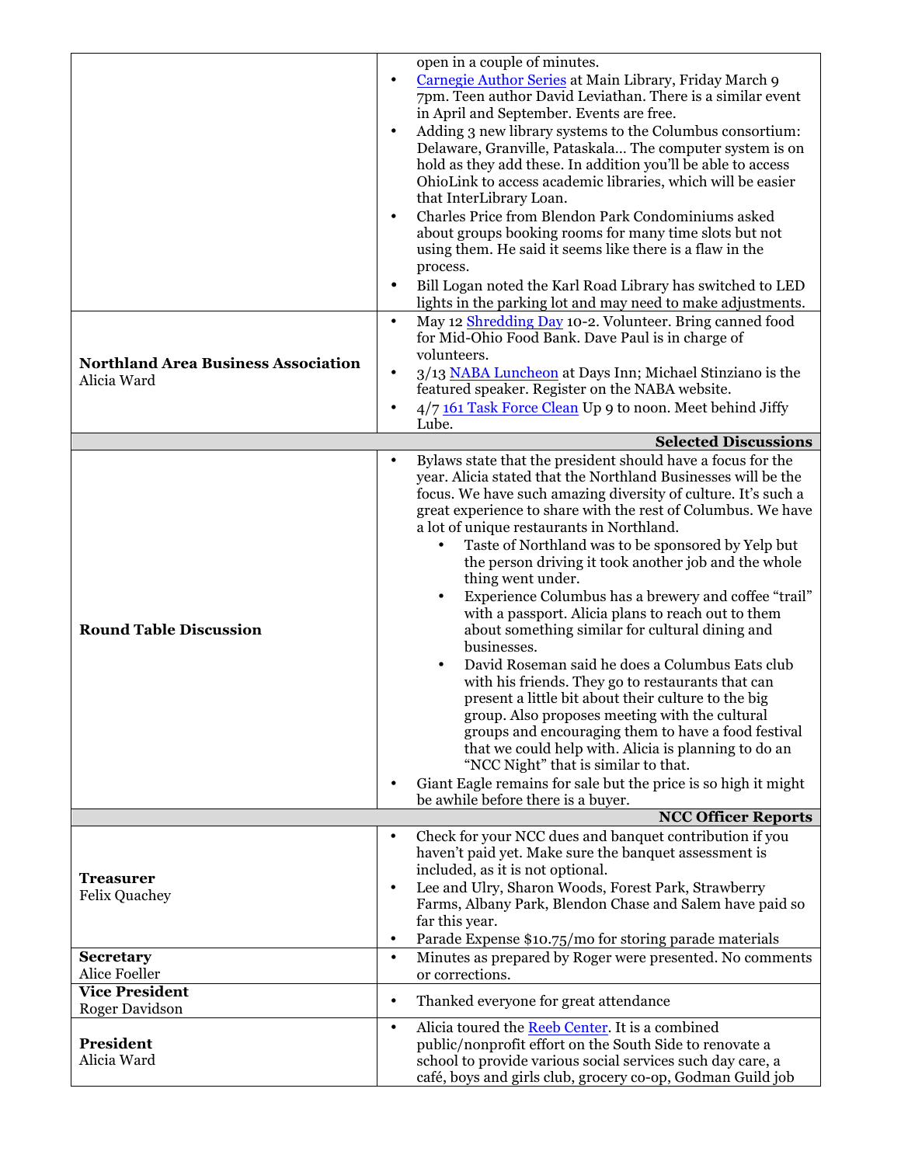| Carnegie Author Series at Main Library, Friday March 9<br>$\bullet$<br>7pm. Teen author David Leviathan. There is a similar event<br>in April and September. Events are free.<br>Adding 3 new library systems to the Columbus consortium:<br>$\bullet$<br>Delaware, Granville, Pataskala The computer system is on<br>hold as they add these. In addition you'll be able to access<br>OhioLink to access academic libraries, which will be easier<br>that InterLibrary Loan.<br>Charles Price from Blendon Park Condominiums asked<br>$\bullet$<br>about groups booking rooms for many time slots but not<br>using them. He said it seems like there is a flaw in the<br>process.<br>Bill Logan noted the Karl Road Library has switched to LED<br>$\bullet$<br>lights in the parking lot and may need to make adjustments.<br>May 12 Shredding Day 10-2. Volunteer. Bring canned food<br>$\bullet$<br>for Mid-Ohio Food Bank. Dave Paul is in charge of<br>volunteers.<br><b>Northland Area Business Association</b><br>3/13 NABA Luncheon at Days Inn; Michael Stinziano is the<br>$\bullet$<br>Alicia Ward<br>featured speaker. Register on the NABA website.<br>4/7 161 Task Force Clean Up 9 to noon. Meet behind Jiffy<br>$\bullet$<br>Lube.<br><b>Selected Discussions</b><br>Bylaws state that the president should have a focus for the<br>$\bullet$<br>year. Alicia stated that the Northland Businesses will be the<br>focus. We have such amazing diversity of culture. It's such a<br>great experience to share with the rest of Columbus. We have<br>a lot of unique restaurants in Northland.<br>Taste of Northland was to be sponsored by Yelp but<br>$\bullet$<br>the person driving it took another job and the whole<br>thing went under.<br>Experience Columbus has a brewery and coffee "trail"<br>with a passport. Alicia plans to reach out to them<br><b>Round Table Discussion</b><br>about something similar for cultural dining and<br>businesses.<br>David Roseman said he does a Columbus Eats club<br>with his friends. They go to restaurants that can<br>present a little bit about their culture to the big<br>group. Also proposes meeting with the cultural<br>groups and encouraging them to have a food festival<br>that we could help with. Alicia is planning to do an<br>"NCC Night" that is similar to that.<br>Giant Eagle remains for sale but the price is so high it might<br>$\bullet$<br>be awhile before there is a buyer.<br><b>NCC Officer Reports</b><br>Check for your NCC dues and banquet contribution if you<br>$\bullet$<br>haven't paid yet. Make sure the banquet assessment is<br>included, as it is not optional.<br><b>Treasurer</b><br>Lee and Ulry, Sharon Woods, Forest Park, Strawberry<br>$\bullet$<br><b>Felix Quachey</b><br>Farms, Albany Park, Blendon Chase and Salem have paid so<br>far this year.<br>Parade Expense \$10.75/mo for storing parade materials<br>$\bullet$<br>Minutes as prepared by Roger were presented. No comments<br><b>Secretary</b><br>$\bullet$<br>Alice Foeller<br>or corrections.<br><b>Vice President</b><br>Thanked everyone for great attendance<br>$\bullet$<br><b>Roger Davidson</b><br>Alicia toured the Reeb Center. It is a combined<br>$\bullet$<br>President<br>public/nonprofit effort on the South Side to renovate a<br>Alicia Ward<br>school to provide various social services such day care, a<br>café, boys and girls club, grocery co-op, Godman Guild job | open in a couple of minutes. |
|--------------------------------------------------------------------------------------------------------------------------------------------------------------------------------------------------------------------------------------------------------------------------------------------------------------------------------------------------------------------------------------------------------------------------------------------------------------------------------------------------------------------------------------------------------------------------------------------------------------------------------------------------------------------------------------------------------------------------------------------------------------------------------------------------------------------------------------------------------------------------------------------------------------------------------------------------------------------------------------------------------------------------------------------------------------------------------------------------------------------------------------------------------------------------------------------------------------------------------------------------------------------------------------------------------------------------------------------------------------------------------------------------------------------------------------------------------------------------------------------------------------------------------------------------------------------------------------------------------------------------------------------------------------------------------------------------------------------------------------------------------------------------------------------------------------------------------------------------------------------------------------------------------------------------------------------------------------------------------------------------------------------------------------------------------------------------------------------------------------------------------------------------------------------------------------------------------------------------------------------------------------------------------------------------------------------------------------------------------------------------------------------------------------------------------------------------------------------------------------------------------------------------------------------------------------------------------------------------------------------------------------------------------------------------------------------------------------------------------------------------------------------------------------------------------------------------------------------------------------------------------------------------------------------------------------------------------------------------------------------------------------------------------------------------------------------------------------------------------------------------------------------------------------------------------------------------------------------------------------------------------------------------------------------------------------------------------------------------------------------------------------------------------------------------------------------------------------------------------|------------------------------|
|                                                                                                                                                                                                                                                                                                                                                                                                                                                                                                                                                                                                                                                                                                                                                                                                                                                                                                                                                                                                                                                                                                                                                                                                                                                                                                                                                                                                                                                                                                                                                                                                                                                                                                                                                                                                                                                                                                                                                                                                                                                                                                                                                                                                                                                                                                                                                                                                                                                                                                                                                                                                                                                                                                                                                                                                                                                                                                                                                                                                                                                                                                                                                                                                                                                                                                                                                                                                                                                                                |                              |
|                                                                                                                                                                                                                                                                                                                                                                                                                                                                                                                                                                                                                                                                                                                                                                                                                                                                                                                                                                                                                                                                                                                                                                                                                                                                                                                                                                                                                                                                                                                                                                                                                                                                                                                                                                                                                                                                                                                                                                                                                                                                                                                                                                                                                                                                                                                                                                                                                                                                                                                                                                                                                                                                                                                                                                                                                                                                                                                                                                                                                                                                                                                                                                                                                                                                                                                                                                                                                                                                                |                              |
|                                                                                                                                                                                                                                                                                                                                                                                                                                                                                                                                                                                                                                                                                                                                                                                                                                                                                                                                                                                                                                                                                                                                                                                                                                                                                                                                                                                                                                                                                                                                                                                                                                                                                                                                                                                                                                                                                                                                                                                                                                                                                                                                                                                                                                                                                                                                                                                                                                                                                                                                                                                                                                                                                                                                                                                                                                                                                                                                                                                                                                                                                                                                                                                                                                                                                                                                                                                                                                                                                |                              |
|                                                                                                                                                                                                                                                                                                                                                                                                                                                                                                                                                                                                                                                                                                                                                                                                                                                                                                                                                                                                                                                                                                                                                                                                                                                                                                                                                                                                                                                                                                                                                                                                                                                                                                                                                                                                                                                                                                                                                                                                                                                                                                                                                                                                                                                                                                                                                                                                                                                                                                                                                                                                                                                                                                                                                                                                                                                                                                                                                                                                                                                                                                                                                                                                                                                                                                                                                                                                                                                                                |                              |
|                                                                                                                                                                                                                                                                                                                                                                                                                                                                                                                                                                                                                                                                                                                                                                                                                                                                                                                                                                                                                                                                                                                                                                                                                                                                                                                                                                                                                                                                                                                                                                                                                                                                                                                                                                                                                                                                                                                                                                                                                                                                                                                                                                                                                                                                                                                                                                                                                                                                                                                                                                                                                                                                                                                                                                                                                                                                                                                                                                                                                                                                                                                                                                                                                                                                                                                                                                                                                                                                                |                              |
|                                                                                                                                                                                                                                                                                                                                                                                                                                                                                                                                                                                                                                                                                                                                                                                                                                                                                                                                                                                                                                                                                                                                                                                                                                                                                                                                                                                                                                                                                                                                                                                                                                                                                                                                                                                                                                                                                                                                                                                                                                                                                                                                                                                                                                                                                                                                                                                                                                                                                                                                                                                                                                                                                                                                                                                                                                                                                                                                                                                                                                                                                                                                                                                                                                                                                                                                                                                                                                                                                |                              |
|                                                                                                                                                                                                                                                                                                                                                                                                                                                                                                                                                                                                                                                                                                                                                                                                                                                                                                                                                                                                                                                                                                                                                                                                                                                                                                                                                                                                                                                                                                                                                                                                                                                                                                                                                                                                                                                                                                                                                                                                                                                                                                                                                                                                                                                                                                                                                                                                                                                                                                                                                                                                                                                                                                                                                                                                                                                                                                                                                                                                                                                                                                                                                                                                                                                                                                                                                                                                                                                                                |                              |
|                                                                                                                                                                                                                                                                                                                                                                                                                                                                                                                                                                                                                                                                                                                                                                                                                                                                                                                                                                                                                                                                                                                                                                                                                                                                                                                                                                                                                                                                                                                                                                                                                                                                                                                                                                                                                                                                                                                                                                                                                                                                                                                                                                                                                                                                                                                                                                                                                                                                                                                                                                                                                                                                                                                                                                                                                                                                                                                                                                                                                                                                                                                                                                                                                                                                                                                                                                                                                                                                                |                              |
|                                                                                                                                                                                                                                                                                                                                                                                                                                                                                                                                                                                                                                                                                                                                                                                                                                                                                                                                                                                                                                                                                                                                                                                                                                                                                                                                                                                                                                                                                                                                                                                                                                                                                                                                                                                                                                                                                                                                                                                                                                                                                                                                                                                                                                                                                                                                                                                                                                                                                                                                                                                                                                                                                                                                                                                                                                                                                                                                                                                                                                                                                                                                                                                                                                                                                                                                                                                                                                                                                |                              |
|                                                                                                                                                                                                                                                                                                                                                                                                                                                                                                                                                                                                                                                                                                                                                                                                                                                                                                                                                                                                                                                                                                                                                                                                                                                                                                                                                                                                                                                                                                                                                                                                                                                                                                                                                                                                                                                                                                                                                                                                                                                                                                                                                                                                                                                                                                                                                                                                                                                                                                                                                                                                                                                                                                                                                                                                                                                                                                                                                                                                                                                                                                                                                                                                                                                                                                                                                                                                                                                                                |                              |
|                                                                                                                                                                                                                                                                                                                                                                                                                                                                                                                                                                                                                                                                                                                                                                                                                                                                                                                                                                                                                                                                                                                                                                                                                                                                                                                                                                                                                                                                                                                                                                                                                                                                                                                                                                                                                                                                                                                                                                                                                                                                                                                                                                                                                                                                                                                                                                                                                                                                                                                                                                                                                                                                                                                                                                                                                                                                                                                                                                                                                                                                                                                                                                                                                                                                                                                                                                                                                                                                                |                              |
|                                                                                                                                                                                                                                                                                                                                                                                                                                                                                                                                                                                                                                                                                                                                                                                                                                                                                                                                                                                                                                                                                                                                                                                                                                                                                                                                                                                                                                                                                                                                                                                                                                                                                                                                                                                                                                                                                                                                                                                                                                                                                                                                                                                                                                                                                                                                                                                                                                                                                                                                                                                                                                                                                                                                                                                                                                                                                                                                                                                                                                                                                                                                                                                                                                                                                                                                                                                                                                                                                |                              |
|                                                                                                                                                                                                                                                                                                                                                                                                                                                                                                                                                                                                                                                                                                                                                                                                                                                                                                                                                                                                                                                                                                                                                                                                                                                                                                                                                                                                                                                                                                                                                                                                                                                                                                                                                                                                                                                                                                                                                                                                                                                                                                                                                                                                                                                                                                                                                                                                                                                                                                                                                                                                                                                                                                                                                                                                                                                                                                                                                                                                                                                                                                                                                                                                                                                                                                                                                                                                                                                                                |                              |
|                                                                                                                                                                                                                                                                                                                                                                                                                                                                                                                                                                                                                                                                                                                                                                                                                                                                                                                                                                                                                                                                                                                                                                                                                                                                                                                                                                                                                                                                                                                                                                                                                                                                                                                                                                                                                                                                                                                                                                                                                                                                                                                                                                                                                                                                                                                                                                                                                                                                                                                                                                                                                                                                                                                                                                                                                                                                                                                                                                                                                                                                                                                                                                                                                                                                                                                                                                                                                                                                                |                              |
|                                                                                                                                                                                                                                                                                                                                                                                                                                                                                                                                                                                                                                                                                                                                                                                                                                                                                                                                                                                                                                                                                                                                                                                                                                                                                                                                                                                                                                                                                                                                                                                                                                                                                                                                                                                                                                                                                                                                                                                                                                                                                                                                                                                                                                                                                                                                                                                                                                                                                                                                                                                                                                                                                                                                                                                                                                                                                                                                                                                                                                                                                                                                                                                                                                                                                                                                                                                                                                                                                |                              |
|                                                                                                                                                                                                                                                                                                                                                                                                                                                                                                                                                                                                                                                                                                                                                                                                                                                                                                                                                                                                                                                                                                                                                                                                                                                                                                                                                                                                                                                                                                                                                                                                                                                                                                                                                                                                                                                                                                                                                                                                                                                                                                                                                                                                                                                                                                                                                                                                                                                                                                                                                                                                                                                                                                                                                                                                                                                                                                                                                                                                                                                                                                                                                                                                                                                                                                                                                                                                                                                                                |                              |
|                                                                                                                                                                                                                                                                                                                                                                                                                                                                                                                                                                                                                                                                                                                                                                                                                                                                                                                                                                                                                                                                                                                                                                                                                                                                                                                                                                                                                                                                                                                                                                                                                                                                                                                                                                                                                                                                                                                                                                                                                                                                                                                                                                                                                                                                                                                                                                                                                                                                                                                                                                                                                                                                                                                                                                                                                                                                                                                                                                                                                                                                                                                                                                                                                                                                                                                                                                                                                                                                                |                              |
|                                                                                                                                                                                                                                                                                                                                                                                                                                                                                                                                                                                                                                                                                                                                                                                                                                                                                                                                                                                                                                                                                                                                                                                                                                                                                                                                                                                                                                                                                                                                                                                                                                                                                                                                                                                                                                                                                                                                                                                                                                                                                                                                                                                                                                                                                                                                                                                                                                                                                                                                                                                                                                                                                                                                                                                                                                                                                                                                                                                                                                                                                                                                                                                                                                                                                                                                                                                                                                                                                |                              |
|                                                                                                                                                                                                                                                                                                                                                                                                                                                                                                                                                                                                                                                                                                                                                                                                                                                                                                                                                                                                                                                                                                                                                                                                                                                                                                                                                                                                                                                                                                                                                                                                                                                                                                                                                                                                                                                                                                                                                                                                                                                                                                                                                                                                                                                                                                                                                                                                                                                                                                                                                                                                                                                                                                                                                                                                                                                                                                                                                                                                                                                                                                                                                                                                                                                                                                                                                                                                                                                                                |                              |
|                                                                                                                                                                                                                                                                                                                                                                                                                                                                                                                                                                                                                                                                                                                                                                                                                                                                                                                                                                                                                                                                                                                                                                                                                                                                                                                                                                                                                                                                                                                                                                                                                                                                                                                                                                                                                                                                                                                                                                                                                                                                                                                                                                                                                                                                                                                                                                                                                                                                                                                                                                                                                                                                                                                                                                                                                                                                                                                                                                                                                                                                                                                                                                                                                                                                                                                                                                                                                                                                                |                              |
|                                                                                                                                                                                                                                                                                                                                                                                                                                                                                                                                                                                                                                                                                                                                                                                                                                                                                                                                                                                                                                                                                                                                                                                                                                                                                                                                                                                                                                                                                                                                                                                                                                                                                                                                                                                                                                                                                                                                                                                                                                                                                                                                                                                                                                                                                                                                                                                                                                                                                                                                                                                                                                                                                                                                                                                                                                                                                                                                                                                                                                                                                                                                                                                                                                                                                                                                                                                                                                                                                |                              |
|                                                                                                                                                                                                                                                                                                                                                                                                                                                                                                                                                                                                                                                                                                                                                                                                                                                                                                                                                                                                                                                                                                                                                                                                                                                                                                                                                                                                                                                                                                                                                                                                                                                                                                                                                                                                                                                                                                                                                                                                                                                                                                                                                                                                                                                                                                                                                                                                                                                                                                                                                                                                                                                                                                                                                                                                                                                                                                                                                                                                                                                                                                                                                                                                                                                                                                                                                                                                                                                                                |                              |
|                                                                                                                                                                                                                                                                                                                                                                                                                                                                                                                                                                                                                                                                                                                                                                                                                                                                                                                                                                                                                                                                                                                                                                                                                                                                                                                                                                                                                                                                                                                                                                                                                                                                                                                                                                                                                                                                                                                                                                                                                                                                                                                                                                                                                                                                                                                                                                                                                                                                                                                                                                                                                                                                                                                                                                                                                                                                                                                                                                                                                                                                                                                                                                                                                                                                                                                                                                                                                                                                                |                              |
|                                                                                                                                                                                                                                                                                                                                                                                                                                                                                                                                                                                                                                                                                                                                                                                                                                                                                                                                                                                                                                                                                                                                                                                                                                                                                                                                                                                                                                                                                                                                                                                                                                                                                                                                                                                                                                                                                                                                                                                                                                                                                                                                                                                                                                                                                                                                                                                                                                                                                                                                                                                                                                                                                                                                                                                                                                                                                                                                                                                                                                                                                                                                                                                                                                                                                                                                                                                                                                                                                |                              |
|                                                                                                                                                                                                                                                                                                                                                                                                                                                                                                                                                                                                                                                                                                                                                                                                                                                                                                                                                                                                                                                                                                                                                                                                                                                                                                                                                                                                                                                                                                                                                                                                                                                                                                                                                                                                                                                                                                                                                                                                                                                                                                                                                                                                                                                                                                                                                                                                                                                                                                                                                                                                                                                                                                                                                                                                                                                                                                                                                                                                                                                                                                                                                                                                                                                                                                                                                                                                                                                                                |                              |
|                                                                                                                                                                                                                                                                                                                                                                                                                                                                                                                                                                                                                                                                                                                                                                                                                                                                                                                                                                                                                                                                                                                                                                                                                                                                                                                                                                                                                                                                                                                                                                                                                                                                                                                                                                                                                                                                                                                                                                                                                                                                                                                                                                                                                                                                                                                                                                                                                                                                                                                                                                                                                                                                                                                                                                                                                                                                                                                                                                                                                                                                                                                                                                                                                                                                                                                                                                                                                                                                                |                              |
|                                                                                                                                                                                                                                                                                                                                                                                                                                                                                                                                                                                                                                                                                                                                                                                                                                                                                                                                                                                                                                                                                                                                                                                                                                                                                                                                                                                                                                                                                                                                                                                                                                                                                                                                                                                                                                                                                                                                                                                                                                                                                                                                                                                                                                                                                                                                                                                                                                                                                                                                                                                                                                                                                                                                                                                                                                                                                                                                                                                                                                                                                                                                                                                                                                                                                                                                                                                                                                                                                |                              |
|                                                                                                                                                                                                                                                                                                                                                                                                                                                                                                                                                                                                                                                                                                                                                                                                                                                                                                                                                                                                                                                                                                                                                                                                                                                                                                                                                                                                                                                                                                                                                                                                                                                                                                                                                                                                                                                                                                                                                                                                                                                                                                                                                                                                                                                                                                                                                                                                                                                                                                                                                                                                                                                                                                                                                                                                                                                                                                                                                                                                                                                                                                                                                                                                                                                                                                                                                                                                                                                                                |                              |
|                                                                                                                                                                                                                                                                                                                                                                                                                                                                                                                                                                                                                                                                                                                                                                                                                                                                                                                                                                                                                                                                                                                                                                                                                                                                                                                                                                                                                                                                                                                                                                                                                                                                                                                                                                                                                                                                                                                                                                                                                                                                                                                                                                                                                                                                                                                                                                                                                                                                                                                                                                                                                                                                                                                                                                                                                                                                                                                                                                                                                                                                                                                                                                                                                                                                                                                                                                                                                                                                                |                              |
|                                                                                                                                                                                                                                                                                                                                                                                                                                                                                                                                                                                                                                                                                                                                                                                                                                                                                                                                                                                                                                                                                                                                                                                                                                                                                                                                                                                                                                                                                                                                                                                                                                                                                                                                                                                                                                                                                                                                                                                                                                                                                                                                                                                                                                                                                                                                                                                                                                                                                                                                                                                                                                                                                                                                                                                                                                                                                                                                                                                                                                                                                                                                                                                                                                                                                                                                                                                                                                                                                |                              |
|                                                                                                                                                                                                                                                                                                                                                                                                                                                                                                                                                                                                                                                                                                                                                                                                                                                                                                                                                                                                                                                                                                                                                                                                                                                                                                                                                                                                                                                                                                                                                                                                                                                                                                                                                                                                                                                                                                                                                                                                                                                                                                                                                                                                                                                                                                                                                                                                                                                                                                                                                                                                                                                                                                                                                                                                                                                                                                                                                                                                                                                                                                                                                                                                                                                                                                                                                                                                                                                                                |                              |
|                                                                                                                                                                                                                                                                                                                                                                                                                                                                                                                                                                                                                                                                                                                                                                                                                                                                                                                                                                                                                                                                                                                                                                                                                                                                                                                                                                                                                                                                                                                                                                                                                                                                                                                                                                                                                                                                                                                                                                                                                                                                                                                                                                                                                                                                                                                                                                                                                                                                                                                                                                                                                                                                                                                                                                                                                                                                                                                                                                                                                                                                                                                                                                                                                                                                                                                                                                                                                                                                                |                              |
|                                                                                                                                                                                                                                                                                                                                                                                                                                                                                                                                                                                                                                                                                                                                                                                                                                                                                                                                                                                                                                                                                                                                                                                                                                                                                                                                                                                                                                                                                                                                                                                                                                                                                                                                                                                                                                                                                                                                                                                                                                                                                                                                                                                                                                                                                                                                                                                                                                                                                                                                                                                                                                                                                                                                                                                                                                                                                                                                                                                                                                                                                                                                                                                                                                                                                                                                                                                                                                                                                |                              |
|                                                                                                                                                                                                                                                                                                                                                                                                                                                                                                                                                                                                                                                                                                                                                                                                                                                                                                                                                                                                                                                                                                                                                                                                                                                                                                                                                                                                                                                                                                                                                                                                                                                                                                                                                                                                                                                                                                                                                                                                                                                                                                                                                                                                                                                                                                                                                                                                                                                                                                                                                                                                                                                                                                                                                                                                                                                                                                                                                                                                                                                                                                                                                                                                                                                                                                                                                                                                                                                                                |                              |
|                                                                                                                                                                                                                                                                                                                                                                                                                                                                                                                                                                                                                                                                                                                                                                                                                                                                                                                                                                                                                                                                                                                                                                                                                                                                                                                                                                                                                                                                                                                                                                                                                                                                                                                                                                                                                                                                                                                                                                                                                                                                                                                                                                                                                                                                                                                                                                                                                                                                                                                                                                                                                                                                                                                                                                                                                                                                                                                                                                                                                                                                                                                                                                                                                                                                                                                                                                                                                                                                                |                              |
|                                                                                                                                                                                                                                                                                                                                                                                                                                                                                                                                                                                                                                                                                                                                                                                                                                                                                                                                                                                                                                                                                                                                                                                                                                                                                                                                                                                                                                                                                                                                                                                                                                                                                                                                                                                                                                                                                                                                                                                                                                                                                                                                                                                                                                                                                                                                                                                                                                                                                                                                                                                                                                                                                                                                                                                                                                                                                                                                                                                                                                                                                                                                                                                                                                                                                                                                                                                                                                                                                |                              |
|                                                                                                                                                                                                                                                                                                                                                                                                                                                                                                                                                                                                                                                                                                                                                                                                                                                                                                                                                                                                                                                                                                                                                                                                                                                                                                                                                                                                                                                                                                                                                                                                                                                                                                                                                                                                                                                                                                                                                                                                                                                                                                                                                                                                                                                                                                                                                                                                                                                                                                                                                                                                                                                                                                                                                                                                                                                                                                                                                                                                                                                                                                                                                                                                                                                                                                                                                                                                                                                                                |                              |
|                                                                                                                                                                                                                                                                                                                                                                                                                                                                                                                                                                                                                                                                                                                                                                                                                                                                                                                                                                                                                                                                                                                                                                                                                                                                                                                                                                                                                                                                                                                                                                                                                                                                                                                                                                                                                                                                                                                                                                                                                                                                                                                                                                                                                                                                                                                                                                                                                                                                                                                                                                                                                                                                                                                                                                                                                                                                                                                                                                                                                                                                                                                                                                                                                                                                                                                                                                                                                                                                                |                              |
|                                                                                                                                                                                                                                                                                                                                                                                                                                                                                                                                                                                                                                                                                                                                                                                                                                                                                                                                                                                                                                                                                                                                                                                                                                                                                                                                                                                                                                                                                                                                                                                                                                                                                                                                                                                                                                                                                                                                                                                                                                                                                                                                                                                                                                                                                                                                                                                                                                                                                                                                                                                                                                                                                                                                                                                                                                                                                                                                                                                                                                                                                                                                                                                                                                                                                                                                                                                                                                                                                |                              |
|                                                                                                                                                                                                                                                                                                                                                                                                                                                                                                                                                                                                                                                                                                                                                                                                                                                                                                                                                                                                                                                                                                                                                                                                                                                                                                                                                                                                                                                                                                                                                                                                                                                                                                                                                                                                                                                                                                                                                                                                                                                                                                                                                                                                                                                                                                                                                                                                                                                                                                                                                                                                                                                                                                                                                                                                                                                                                                                                                                                                                                                                                                                                                                                                                                                                                                                                                                                                                                                                                |                              |
|                                                                                                                                                                                                                                                                                                                                                                                                                                                                                                                                                                                                                                                                                                                                                                                                                                                                                                                                                                                                                                                                                                                                                                                                                                                                                                                                                                                                                                                                                                                                                                                                                                                                                                                                                                                                                                                                                                                                                                                                                                                                                                                                                                                                                                                                                                                                                                                                                                                                                                                                                                                                                                                                                                                                                                                                                                                                                                                                                                                                                                                                                                                                                                                                                                                                                                                                                                                                                                                                                |                              |
|                                                                                                                                                                                                                                                                                                                                                                                                                                                                                                                                                                                                                                                                                                                                                                                                                                                                                                                                                                                                                                                                                                                                                                                                                                                                                                                                                                                                                                                                                                                                                                                                                                                                                                                                                                                                                                                                                                                                                                                                                                                                                                                                                                                                                                                                                                                                                                                                                                                                                                                                                                                                                                                                                                                                                                                                                                                                                                                                                                                                                                                                                                                                                                                                                                                                                                                                                                                                                                                                                |                              |
|                                                                                                                                                                                                                                                                                                                                                                                                                                                                                                                                                                                                                                                                                                                                                                                                                                                                                                                                                                                                                                                                                                                                                                                                                                                                                                                                                                                                                                                                                                                                                                                                                                                                                                                                                                                                                                                                                                                                                                                                                                                                                                                                                                                                                                                                                                                                                                                                                                                                                                                                                                                                                                                                                                                                                                                                                                                                                                                                                                                                                                                                                                                                                                                                                                                                                                                                                                                                                                                                                |                              |
|                                                                                                                                                                                                                                                                                                                                                                                                                                                                                                                                                                                                                                                                                                                                                                                                                                                                                                                                                                                                                                                                                                                                                                                                                                                                                                                                                                                                                                                                                                                                                                                                                                                                                                                                                                                                                                                                                                                                                                                                                                                                                                                                                                                                                                                                                                                                                                                                                                                                                                                                                                                                                                                                                                                                                                                                                                                                                                                                                                                                                                                                                                                                                                                                                                                                                                                                                                                                                                                                                |                              |
|                                                                                                                                                                                                                                                                                                                                                                                                                                                                                                                                                                                                                                                                                                                                                                                                                                                                                                                                                                                                                                                                                                                                                                                                                                                                                                                                                                                                                                                                                                                                                                                                                                                                                                                                                                                                                                                                                                                                                                                                                                                                                                                                                                                                                                                                                                                                                                                                                                                                                                                                                                                                                                                                                                                                                                                                                                                                                                                                                                                                                                                                                                                                                                                                                                                                                                                                                                                                                                                                                |                              |
|                                                                                                                                                                                                                                                                                                                                                                                                                                                                                                                                                                                                                                                                                                                                                                                                                                                                                                                                                                                                                                                                                                                                                                                                                                                                                                                                                                                                                                                                                                                                                                                                                                                                                                                                                                                                                                                                                                                                                                                                                                                                                                                                                                                                                                                                                                                                                                                                                                                                                                                                                                                                                                                                                                                                                                                                                                                                                                                                                                                                                                                                                                                                                                                                                                                                                                                                                                                                                                                                                |                              |
|                                                                                                                                                                                                                                                                                                                                                                                                                                                                                                                                                                                                                                                                                                                                                                                                                                                                                                                                                                                                                                                                                                                                                                                                                                                                                                                                                                                                                                                                                                                                                                                                                                                                                                                                                                                                                                                                                                                                                                                                                                                                                                                                                                                                                                                                                                                                                                                                                                                                                                                                                                                                                                                                                                                                                                                                                                                                                                                                                                                                                                                                                                                                                                                                                                                                                                                                                                                                                                                                                |                              |
|                                                                                                                                                                                                                                                                                                                                                                                                                                                                                                                                                                                                                                                                                                                                                                                                                                                                                                                                                                                                                                                                                                                                                                                                                                                                                                                                                                                                                                                                                                                                                                                                                                                                                                                                                                                                                                                                                                                                                                                                                                                                                                                                                                                                                                                                                                                                                                                                                                                                                                                                                                                                                                                                                                                                                                                                                                                                                                                                                                                                                                                                                                                                                                                                                                                                                                                                                                                                                                                                                |                              |
|                                                                                                                                                                                                                                                                                                                                                                                                                                                                                                                                                                                                                                                                                                                                                                                                                                                                                                                                                                                                                                                                                                                                                                                                                                                                                                                                                                                                                                                                                                                                                                                                                                                                                                                                                                                                                                                                                                                                                                                                                                                                                                                                                                                                                                                                                                                                                                                                                                                                                                                                                                                                                                                                                                                                                                                                                                                                                                                                                                                                                                                                                                                                                                                                                                                                                                                                                                                                                                                                                |                              |
|                                                                                                                                                                                                                                                                                                                                                                                                                                                                                                                                                                                                                                                                                                                                                                                                                                                                                                                                                                                                                                                                                                                                                                                                                                                                                                                                                                                                                                                                                                                                                                                                                                                                                                                                                                                                                                                                                                                                                                                                                                                                                                                                                                                                                                                                                                                                                                                                                                                                                                                                                                                                                                                                                                                                                                                                                                                                                                                                                                                                                                                                                                                                                                                                                                                                                                                                                                                                                                                                                |                              |
|                                                                                                                                                                                                                                                                                                                                                                                                                                                                                                                                                                                                                                                                                                                                                                                                                                                                                                                                                                                                                                                                                                                                                                                                                                                                                                                                                                                                                                                                                                                                                                                                                                                                                                                                                                                                                                                                                                                                                                                                                                                                                                                                                                                                                                                                                                                                                                                                                                                                                                                                                                                                                                                                                                                                                                                                                                                                                                                                                                                                                                                                                                                                                                                                                                                                                                                                                                                                                                                                                |                              |
|                                                                                                                                                                                                                                                                                                                                                                                                                                                                                                                                                                                                                                                                                                                                                                                                                                                                                                                                                                                                                                                                                                                                                                                                                                                                                                                                                                                                                                                                                                                                                                                                                                                                                                                                                                                                                                                                                                                                                                                                                                                                                                                                                                                                                                                                                                                                                                                                                                                                                                                                                                                                                                                                                                                                                                                                                                                                                                                                                                                                                                                                                                                                                                                                                                                                                                                                                                                                                                                                                |                              |
|                                                                                                                                                                                                                                                                                                                                                                                                                                                                                                                                                                                                                                                                                                                                                                                                                                                                                                                                                                                                                                                                                                                                                                                                                                                                                                                                                                                                                                                                                                                                                                                                                                                                                                                                                                                                                                                                                                                                                                                                                                                                                                                                                                                                                                                                                                                                                                                                                                                                                                                                                                                                                                                                                                                                                                                                                                                                                                                                                                                                                                                                                                                                                                                                                                                                                                                                                                                                                                                                                |                              |
|                                                                                                                                                                                                                                                                                                                                                                                                                                                                                                                                                                                                                                                                                                                                                                                                                                                                                                                                                                                                                                                                                                                                                                                                                                                                                                                                                                                                                                                                                                                                                                                                                                                                                                                                                                                                                                                                                                                                                                                                                                                                                                                                                                                                                                                                                                                                                                                                                                                                                                                                                                                                                                                                                                                                                                                                                                                                                                                                                                                                                                                                                                                                                                                                                                                                                                                                                                                                                                                                                |                              |
|                                                                                                                                                                                                                                                                                                                                                                                                                                                                                                                                                                                                                                                                                                                                                                                                                                                                                                                                                                                                                                                                                                                                                                                                                                                                                                                                                                                                                                                                                                                                                                                                                                                                                                                                                                                                                                                                                                                                                                                                                                                                                                                                                                                                                                                                                                                                                                                                                                                                                                                                                                                                                                                                                                                                                                                                                                                                                                                                                                                                                                                                                                                                                                                                                                                                                                                                                                                                                                                                                |                              |
|                                                                                                                                                                                                                                                                                                                                                                                                                                                                                                                                                                                                                                                                                                                                                                                                                                                                                                                                                                                                                                                                                                                                                                                                                                                                                                                                                                                                                                                                                                                                                                                                                                                                                                                                                                                                                                                                                                                                                                                                                                                                                                                                                                                                                                                                                                                                                                                                                                                                                                                                                                                                                                                                                                                                                                                                                                                                                                                                                                                                                                                                                                                                                                                                                                                                                                                                                                                                                                                                                |                              |
|                                                                                                                                                                                                                                                                                                                                                                                                                                                                                                                                                                                                                                                                                                                                                                                                                                                                                                                                                                                                                                                                                                                                                                                                                                                                                                                                                                                                                                                                                                                                                                                                                                                                                                                                                                                                                                                                                                                                                                                                                                                                                                                                                                                                                                                                                                                                                                                                                                                                                                                                                                                                                                                                                                                                                                                                                                                                                                                                                                                                                                                                                                                                                                                                                                                                                                                                                                                                                                                                                |                              |
|                                                                                                                                                                                                                                                                                                                                                                                                                                                                                                                                                                                                                                                                                                                                                                                                                                                                                                                                                                                                                                                                                                                                                                                                                                                                                                                                                                                                                                                                                                                                                                                                                                                                                                                                                                                                                                                                                                                                                                                                                                                                                                                                                                                                                                                                                                                                                                                                                                                                                                                                                                                                                                                                                                                                                                                                                                                                                                                                                                                                                                                                                                                                                                                                                                                                                                                                                                                                                                                                                |                              |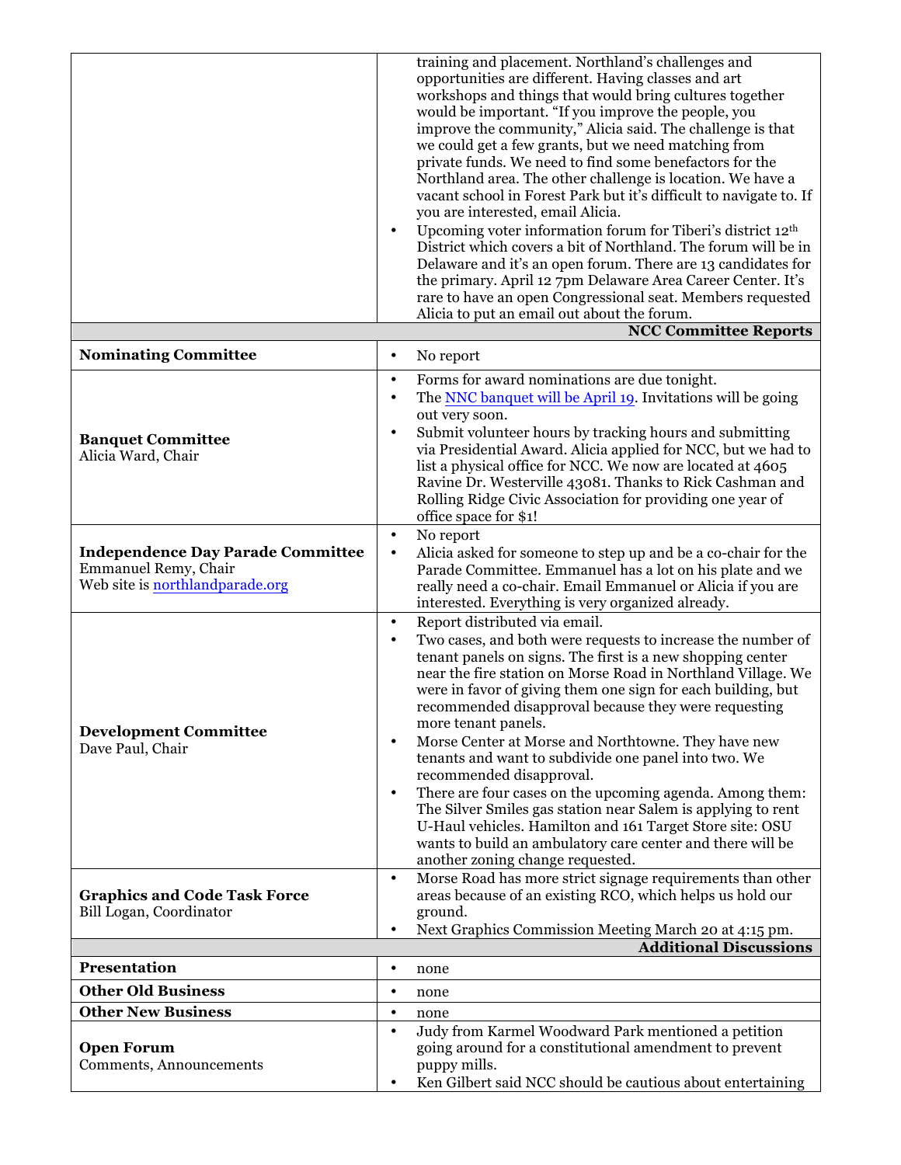|                                                                                                     |                                     | training and placement. Northland's challenges and<br>opportunities are different. Having classes and art<br>workshops and things that would bring cultures together<br>would be important. "If you improve the people, you<br>improve the community," Alicia said. The challenge is that<br>we could get a few grants, but we need matching from<br>private funds. We need to find some benefactors for the<br>Northland area. The other challenge is location. We have a<br>vacant school in Forest Park but it's difficult to navigate to. If<br>you are interested, email Alicia. |
|-----------------------------------------------------------------------------------------------------|-------------------------------------|---------------------------------------------------------------------------------------------------------------------------------------------------------------------------------------------------------------------------------------------------------------------------------------------------------------------------------------------------------------------------------------------------------------------------------------------------------------------------------------------------------------------------------------------------------------------------------------|
|                                                                                                     | $\bullet$                           | Upcoming voter information forum for Tiberi's district 12th<br>District which covers a bit of Northland. The forum will be in<br>Delaware and it's an open forum. There are 13 candidates for<br>the primary. April 12 7pm Delaware Area Career Center. It's<br>rare to have an open Congressional seat. Members requested<br>Alicia to put an email out about the forum.                                                                                                                                                                                                             |
|                                                                                                     |                                     | <b>NCC Committee Reports</b>                                                                                                                                                                                                                                                                                                                                                                                                                                                                                                                                                          |
| <b>Nominating Committee</b>                                                                         | $\bullet$                           | No report                                                                                                                                                                                                                                                                                                                                                                                                                                                                                                                                                                             |
| <b>Banquet Committee</b><br>Alicia Ward, Chair                                                      | $\bullet$<br>$\bullet$<br>$\bullet$ | Forms for award nominations are due tonight.<br>The NNC banquet will be April 19. Invitations will be going<br>out very soon.<br>Submit volunteer hours by tracking hours and submitting<br>via Presidential Award. Alicia applied for NCC, but we had to<br>list a physical office for NCC. We now are located at 4605<br>Ravine Dr. Westerville 43081. Thanks to Rick Cashman and<br>Rolling Ridge Civic Association for providing one year of<br>office space for \$1!                                                                                                             |
| <b>Independence Day Parade Committee</b><br>Emmanuel Remy, Chair<br>Web site is northlandparade.org | $\bullet$<br>$\bullet$              | No report<br>Alicia asked for someone to step up and be a co-chair for the<br>Parade Committee. Emmanuel has a lot on his plate and we<br>really need a co-chair. Email Emmanuel or Alicia if you are<br>interested. Everything is very organized already.                                                                                                                                                                                                                                                                                                                            |
| <b>Development Committee</b>                                                                        | $\bullet$<br>$\bullet$              | Report distributed via email.<br>Two cases, and both were requests to increase the number of<br>tenant panels on signs. The first is a new shopping center<br>near the fire station on Morse Road in Northland Village. We<br>were in favor of giving them one sign for each building, but<br>recommended disapproval because they were requesting<br>more tenant panels.                                                                                                                                                                                                             |
| Dave Paul, Chair                                                                                    | $\bullet$<br>$\bullet$              | Morse Center at Morse and Northtowne. They have new<br>tenants and want to subdivide one panel into two. We<br>recommended disapproval.<br>There are four cases on the upcoming agenda. Among them:                                                                                                                                                                                                                                                                                                                                                                                   |
|                                                                                                     |                                     | The Silver Smiles gas station near Salem is applying to rent<br>U-Haul vehicles. Hamilton and 161 Target Store site: OSU<br>wants to build an ambulatory care center and there will be<br>another zoning change requested.                                                                                                                                                                                                                                                                                                                                                            |
| <b>Graphics and Code Task Force</b><br>Bill Logan, Coordinator                                      | $\bullet$<br>$\bullet$              | Morse Road has more strict signage requirements than other<br>areas because of an existing RCO, which helps us hold our<br>ground.<br>Next Graphics Commission Meeting March 20 at 4:15 pm.                                                                                                                                                                                                                                                                                                                                                                                           |
|                                                                                                     |                                     | <b>Additional Discussions</b>                                                                                                                                                                                                                                                                                                                                                                                                                                                                                                                                                         |
| Presentation                                                                                        | $\bullet$                           | none                                                                                                                                                                                                                                                                                                                                                                                                                                                                                                                                                                                  |
| <b>Other Old Business</b>                                                                           | $\bullet$                           | none                                                                                                                                                                                                                                                                                                                                                                                                                                                                                                                                                                                  |
| <b>Other New Business</b>                                                                           | $\bullet$                           | none                                                                                                                                                                                                                                                                                                                                                                                                                                                                                                                                                                                  |
| <b>Open Forum</b><br>Comments, Announcements                                                        | $\bullet$<br>$\bullet$              | Judy from Karmel Woodward Park mentioned a petition<br>going around for a constitutional amendment to prevent<br>puppy mills.<br>Ken Gilbert said NCC should be cautious about entertaining                                                                                                                                                                                                                                                                                                                                                                                           |